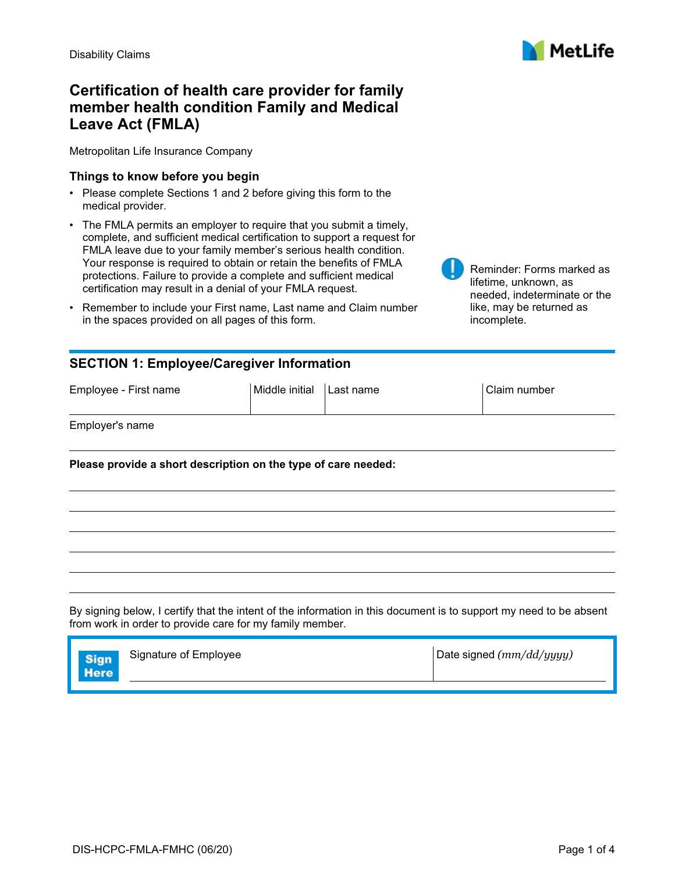

Reminder: Forms marked as

needed, indeterminate or the like, may be returned as

lifetime, unknown, as

incomplete.

# **Certification of health care provider for family member health condition Family and Medical Leave Act (FMLA)**

Metropolitan Life Insurance Company

#### **Things to know before you begin**

- Please complete Sections 1 and 2 before giving this form to the medical provider.
- The FMLA permits an employer to require that you submit a timely, complete, and sufficient medical certification to support a request for FMLA leave due to your family member's serious health condition. Your response is required to obtain or retain the benefits of FMLA protections. Failure to provide a complete and sufficient medical certification may result in a denial of your FMLA request.
- Remember to include your First name, Last name and Claim number in the spaces provided on all pages of this form.

### **SECTION 1: Employee/Caregiver Information**

| Employee - First name | Middle initial | Last name | Claim number |
|-----------------------|----------------|-----------|--------------|
|                       |                |           |              |

Employer's name

**Please provide a short description on the type of care needed:**

By signing below, I certify that the intent of the information in this document is to support my need to be absent from work in order to provide care for my family member.

| Signature of Employee | Date signed $(mm/dd/yyyy)$ |
|-----------------------|----------------------------|
|                       |                            |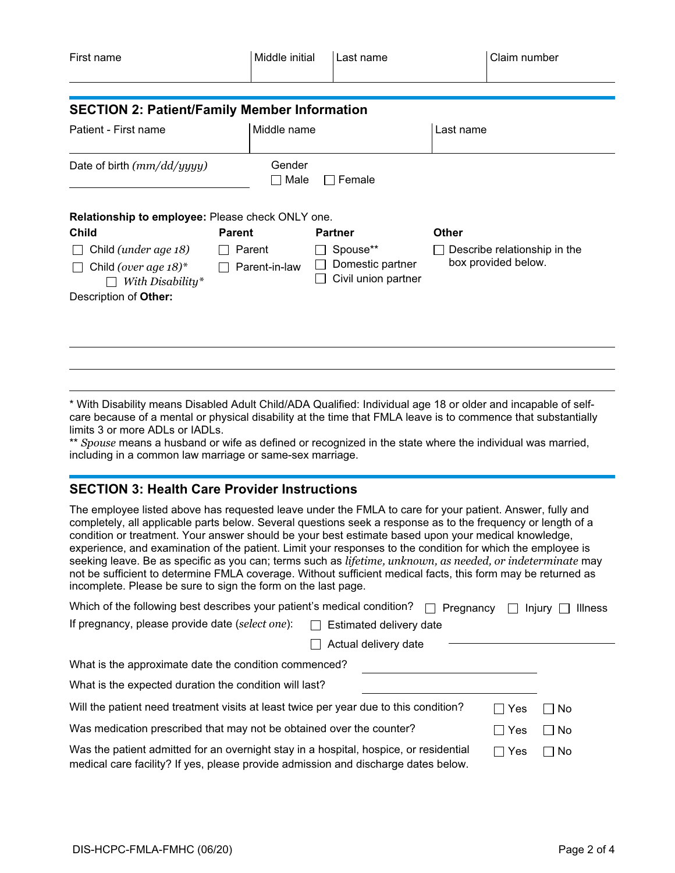| First name                                          |                         | Middle initial |                                                     | Last name                    |              | Claim number |
|-----------------------------------------------------|-------------------------|----------------|-----------------------------------------------------|------------------------------|--------------|--------------|
|                                                     |                         |                |                                                     |                              |              |              |
| <b>SECTION 2: Patient/Family Member Information</b> |                         |                |                                                     |                              |              |              |
| Patient - First name                                |                         | Middle name    |                                                     |                              | Last name    |              |
| Date of birth $(mm/dd/yyyy)$                        |                         | Gender<br>Male | $\Box$                                              | Female                       |              |              |
| Relationship to employee: Please check ONLY one.    |                         |                |                                                     |                              |              |              |
| <b>Child</b>                                        | <b>Parent</b>           |                |                                                     | <b>Partner</b>               | <b>Other</b> |              |
| Child (under age 18)                                | Parent<br>Parent-in-law |                | Spouse**<br>Domestic partner<br>Civil union partner | Describe relationship in the |              |              |
| Child (over age $18$ )*<br>With Disability*         |                         |                |                                                     | box provided below.          |              |              |
| Description of Other:                               |                         |                |                                                     |                              |              |              |
|                                                     |                         |                |                                                     |                              |              |              |
|                                                     |                         |                |                                                     |                              |              |              |

\* With Disability means Disabled Adult Child/ADA Qualified: Individual age 18 or older and incapable of selfcare because of a mental or physical disability at the time that FMLA leave is to commence that substantially limits 3 or more ADLs or IADLs.

\*\* *Spouse* means a husband or wife as defined or recognized in the state where the individual was married, including in a common law marriage or same-sex marriage.

### **SECTION 3: Health Care Provider Instructions**

The employee listed above has requested leave under the FMLA to care for your patient. Answer, fully and completely, all applicable parts below. Several questions seek a response as to the frequency or length of a condition or treatment. Your answer should be your best estimate based upon your medical knowledge, experience, and examination of the patient. Limit your responses to the condition for which the employee is seeking leave. Be as specific as you can; terms such as *lifetime, unknown, as needed, or indeterminate* may not be sufficient to determine FMLA coverage. Without sufficient medical facts, this form may be returned as incomplete. Please be sure to sign the form on the last page.

| Which of the following best describes your patient's medical condition?                                                                                                     | $\Box$ Pregnancy     |     | <b>Illness</b><br>$Injurv$   $\blacksquare$ |
|-----------------------------------------------------------------------------------------------------------------------------------------------------------------------------|----------------------|-----|---------------------------------------------|
| If pregnancy, please provide date (select one):<br>Estimated delivery date                                                                                                  |                      |     |                                             |
|                                                                                                                                                                             | Actual delivery date |     |                                             |
| What is the approximate date the condition commenced?                                                                                                                       |                      |     |                                             |
| What is the expected duration the condition will last?                                                                                                                      |                      |     |                                             |
| Will the patient need treatment visits at least twice per year due to this condition?                                                                                       |                      | Yes | No.                                         |
| Was medication prescribed that may not be obtained over the counter?<br>Yes<br>l No<br>- 1                                                                                  |                      |     |                                             |
| Was the patient admitted for an overnight stay in a hospital, hospice, or residential<br>medical care facility? If yes, please provide admission and discharge dates below. |                      | Yes | No                                          |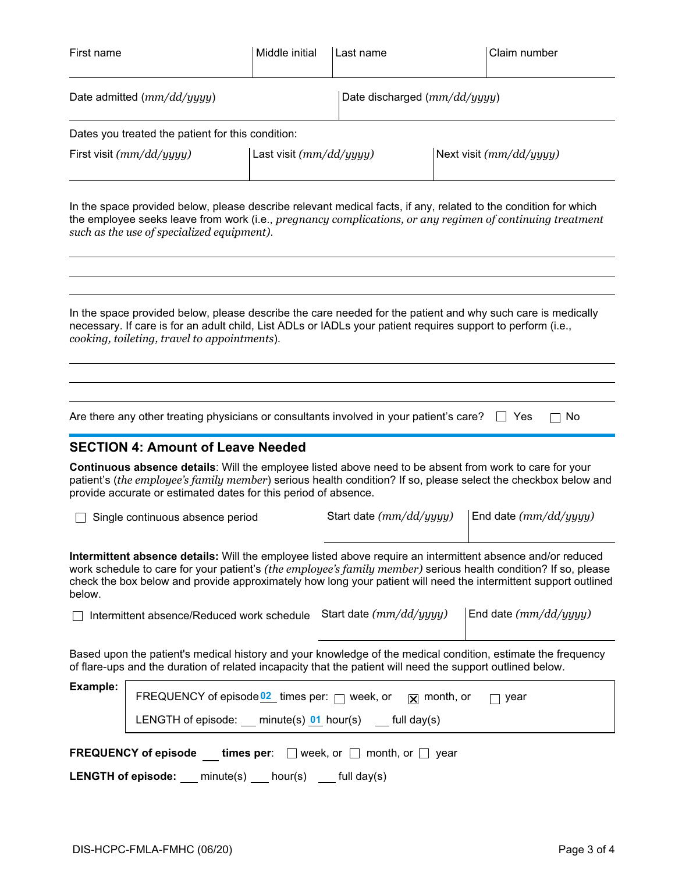| First name                                                                                                                                                       |                                                                                                                                                                                                                                                                                                                   | Middle initial            | Last name                      |  | Claim number                                                                                                                                                                                                                       |
|------------------------------------------------------------------------------------------------------------------------------------------------------------------|-------------------------------------------------------------------------------------------------------------------------------------------------------------------------------------------------------------------------------------------------------------------------------------------------------------------|---------------------------|--------------------------------|--|------------------------------------------------------------------------------------------------------------------------------------------------------------------------------------------------------------------------------------|
| Date admitted $(mm/dd/yyyy)$                                                                                                                                     |                                                                                                                                                                                                                                                                                                                   |                           | Date discharged $(mm/dd/yyyy)$ |  |                                                                                                                                                                                                                                    |
|                                                                                                                                                                  | Dates you treated the patient for this condition:                                                                                                                                                                                                                                                                 |                           |                                |  |                                                                                                                                                                                                                                    |
|                                                                                                                                                                  | First visit (mm/dd/yyyy)                                                                                                                                                                                                                                                                                          | Last visit $(mm/dd/yyyy)$ |                                |  | Next visit (mm/dd/yyyy)                                                                                                                                                                                                            |
|                                                                                                                                                                  | In the space provided below, please describe relevant medical facts, if any, related to the condition for which<br>the employee seeks leave from work (i.e., pregnancy complications, or any regimen of continuing treatment<br>such as the use of specialized equipment).                                        |                           |                                |  |                                                                                                                                                                                                                                    |
|                                                                                                                                                                  | In the space provided below, please describe the care needed for the patient and why such care is medically<br>necessary. If care is for an adult child, List ADLs or IADLs your patient requires support to perform (i.e.,<br>cooking, toileting, travel to appointments).                                       |                           |                                |  |                                                                                                                                                                                                                                    |
|                                                                                                                                                                  | Are there any other treating physicians or consultants involved in your patient's care?<br><b>SECTION 4: Amount of Leave Needed</b><br>Continuous absence details: Will the employee listed above need to be absent from work to care for your<br>provide accurate or estimated dates for this period of absence. |                           |                                |  | $\sqcap$ No<br>∣∣ Yes<br>patient's (the employee's family member) serious health condition? If so, please select the checkbox below and                                                                                            |
|                                                                                                                                                                  | Single continuous absence period                                                                                                                                                                                                                                                                                  |                           | Start date (mm/dd/yyyy)        |  | End date $(mm/dd/yyyy)$                                                                                                                                                                                                            |
| below.                                                                                                                                                           | Intermittent absence details: Will the employee listed above require an intermittent absence and/or reduced                                                                                                                                                                                                       |                           |                                |  | work schedule to care for your patient's (the employee's family member) serious health condition? If so, please<br>check the box below and provide approximately how long your patient will need the intermittent support outlined |
|                                                                                                                                                                  | Intermittent absence/Reduced work schedule                                                                                                                                                                                                                                                                        |                           | Start date (mm/dd/yyyy)        |  | End date $(mm/dd/yyyy)$                                                                                                                                                                                                            |
|                                                                                                                                                                  | Based upon the patient's medical history and your knowledge of the medical condition, estimate the frequency<br>of flare-ups and the duration of related incapacity that the patient will need the support outlined below.                                                                                        |                           |                                |  |                                                                                                                                                                                                                                    |
| <b>Example:</b><br>FREQUENCY of episode $02$ times per: $\Box$ week, or<br>$\sqrt{X}$ month, or<br>year<br>LENGTH of episode: $minute(s)$ 01 hour(s) full day(s) |                                                                                                                                                                                                                                                                                                                   |                           |                                |  |                                                                                                                                                                                                                                    |
|                                                                                                                                                                  |                                                                                                                                                                                                                                                                                                                   |                           |                                |  |                                                                                                                                                                                                                                    |
|                                                                                                                                                                  | <b>FREQUENCY</b> of episode times per: $\Box$ week, or $\Box$ month, or $\Box$ year<br><b>LENGTH of episode:</b> $\qquad$ minute(s) $\qquad$ hour(s) $\qquad$ full day(s)                                                                                                                                         |                           |                                |  |                                                                                                                                                                                                                                    |